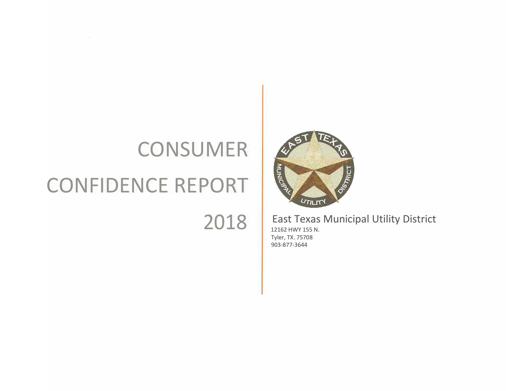# **CONSUMER** CONFIDENCE REPORT

 $\tau$ 

2018



# East Texas Municipal Utility District

12162 HWY 155 N. Tyler, TX. 75708 903-877-3644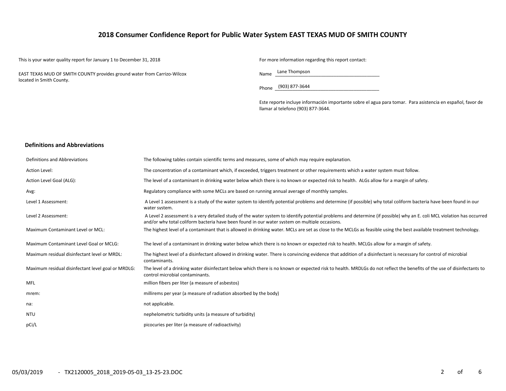# **2018 Consumer Confidence Report for Public Water System EAST TEXAS MUD OF SMITH COUNTY**

This is your water quality report for January 1 to December 31, 2018 For more information regarding this report contact:

EAST TEXAS MUD OF SMITH COUNTY provides ground water from Carrizo-Wilcox located in Smith County.

Name Lane Thompson

Phone \_\_\_\_\_\_\_\_\_\_\_\_\_\_\_\_\_\_\_\_\_\_\_\_\_\_\_\_\_\_\_\_\_\_\_\_\_\_\_\_\_ (903) 877-3644

Este reporte incluye información importante sobre el agua para tomar. Para asistencia en español, favor de llamar al telefono (903) 877-3644.

#### **Definitions and Abbreviations**

| Definitions and Abbreviations                      | The following tables contain scientific terms and measures, some of which may require explanation.                                                                                                                                                                      |
|----------------------------------------------------|-------------------------------------------------------------------------------------------------------------------------------------------------------------------------------------------------------------------------------------------------------------------------|
| Action Level:                                      | The concentration of a contaminant which, if exceeded, triggers treatment or other requirements which a water system must follow.                                                                                                                                       |
| Action Level Goal (ALG):                           | The level of a contaminant in drinking water below which there is no known or expected risk to health. ALGs allow for a margin of safety.                                                                                                                               |
| Avg:                                               | Regulatory compliance with some MCLs are based on running annual average of monthly samples.                                                                                                                                                                            |
| Level 1 Assessment:                                | A Level 1 assessment is a study of the water system to identify potential problems and determine (if possible) why total coliform bacteria have been found in our<br>water system.                                                                                      |
| Level 2 Assessment:                                | A Level 2 assessment is a very detailed study of the water system to identify potential problems and determine (if possible) why an E. coli MCL violation has occurred<br>and/or why total coliform bacteria have been found in our water system on multiple occasions. |
| Maximum Contaminant Level or MCL:                  | The highest level of a contaminant that is allowed in drinking water. MCLs are set as close to the MCLGs as feasible using the best available treatment technology.                                                                                                     |
| Maximum Contaminant Level Goal or MCLG:            | The level of a contaminant in drinking water below which there is no known or expected risk to health. MCLGs allow for a margin of safety.                                                                                                                              |
| Maximum residual disinfectant level or MRDL:       | The highest level of a disinfectant allowed in drinking water. There is convincing evidence that addition of a disinfectant is necessary for control of microbial<br>contaminants.                                                                                      |
| Maximum residual disinfectant level goal or MRDLG: | The level of a drinking water disinfectant below which there is no known or expected risk to health. MRDLGs do not reflect the benefits of the use of disinfectants to<br>control microbial contaminants.                                                               |
| MFL                                                | million fibers per liter (a measure of asbestos)                                                                                                                                                                                                                        |
| mrem:                                              | millirems per year (a measure of radiation absorbed by the body)                                                                                                                                                                                                        |
| na:                                                | not applicable.                                                                                                                                                                                                                                                         |
| <b>NTU</b>                                         | nephelometric turbidity units (a measure of turbidity)                                                                                                                                                                                                                  |
| pCi/L                                              | picocuries per liter (a measure of radioactivity)                                                                                                                                                                                                                       |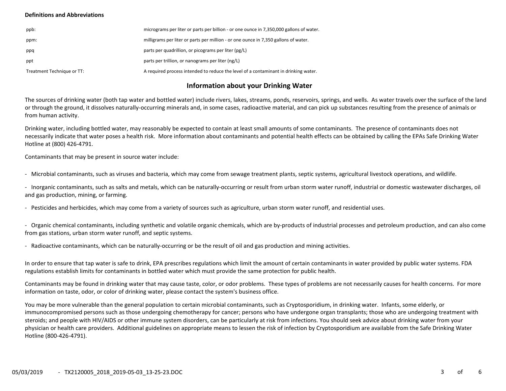#### **Definitions and Abbreviations**

| ppb:                       | micrograms per liter or parts per billion - or one ounce in 7,350,000 gallons of water. |
|----------------------------|-----------------------------------------------------------------------------------------|
| ppm:                       | milligrams per liter or parts per million - or one ounce in 7,350 gallons of water.     |
| ppq                        | parts per quadrillion, or picograms per liter (pg/L)                                    |
| ppt                        | parts per trillion, or nanograms per liter (ng/L)                                       |
| Treatment Technique or TT: | A required process intended to reduce the level of a contaminant in drinking water.     |

### **Information about your Drinking Water**

The sources of drinking water (both tap water and bottled water) include rivers, lakes, streams, ponds, reservoirs, springs, and wells. As water travels over the surface of the land or through the ground, it dissolves naturally-occurring minerals and, in some cases, radioactive material, and can pick up substances resulting from the presence of animals or from human activity.

Drinking water, including bottled water, may reasonably be expected to contain at least small amounts of some contaminants. The presence of contaminants does not necessarily indicate that water poses a health risk. More information about contaminants and potential health effects can be obtained by calling the EPAs Safe Drinking Water Hotline at (800) 426-4791.

Contaminants that may be present in source water include:

- Microbial contaminants, such as viruses and bacteria, which may come from sewage treatment plants, septic systems, agricultural livestock operations, and wildlife.

- Inorganic contaminants, such as salts and metals, which can be naturally-occurring or result from urban storm water runoff, industrial or domestic wastewater discharges, oil and gas production, mining, or farming.

- Pesticides and herbicides, which may come from a variety of sources such as agriculture, urban storm water runoff, and residential uses.

- Organic chemical contaminants, including synthetic and volatile organic chemicals, which are by-products of industrial processes and petroleum production, and can also come from gas stations, urban storm water runoff, and septic systems.

- Radioactive contaminants, which can be naturally-occurring or be the result of oil and gas production and mining activities.

In order to ensure that tap water is safe to drink, EPA prescribes regulations which limit the amount of certain contaminants in water provided by public water systems. FDA regulations establish limits for contaminants in bottled water which must provide the same protection for public health.

Contaminants may be found in drinking water that may cause taste, color, or odor problems. These types of problems are not necessarily causes for health concerns. For more information on taste, odor, or color of drinking water, please contact the system's business office.

You may be more vulnerable than the general population to certain microbial contaminants, such as Cryptosporidium, in drinking water. Infants, some elderly, or immunocompromised persons such as those undergoing chemotherapy for cancer; persons who have undergone organ transplants; those who are undergoing treatment with steroids; and people with HIV/AIDS or other immune system disorders, can be particularly at risk from infections. You should seek advice about drinking water from your physician or health care providers. Additional guidelines on appropriate means to lessen the risk of infection by Cryptosporidium are available from the Safe Drinking Water Hotline (800-426-4791).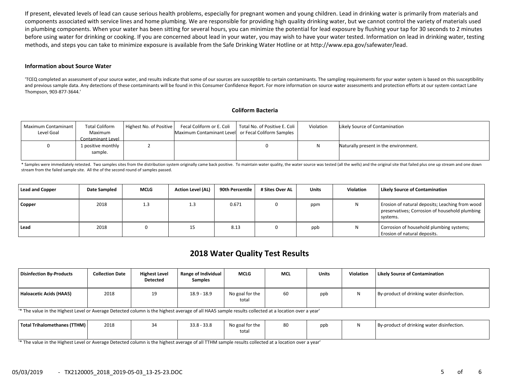If present, elevated levels of lead can cause serious health problems, especially for pregnant women and young children. Lead in drinking water is primarily from materials and components associated with service lines and home plumbing. We are responsible for providing high quality drinking water, but we cannot control the variety of materials used in plumbing components. When your water has been sitting for several hours, you can minimize the potential for lead exposure by flushing your tap for 30 seconds to 2 minutes before using water for drinking or cooking. If you are concerned about lead in your water, you may wish to have your water tested. Information on lead in drinking water, testing methods, and steps you can take to minimize exposure is available from the Safe Drinking Water Hotline or at http://www.epa.gov/safewater/lead.

#### **Information about Source Water**

'TCEQ completed an assessment of your source water, and results indicate that some of our sources are susceptible to certain contaminants. The sampling requirements for your water system is based on this susceptibility and previous sample data. Any detections of these contaminants will be found in this Consumer Confidence Report. For more information on source water assessments and protection efforts at our system contact Lane Thompson, 903-877-3644.'

#### **Coliform Bacteria**

| Maximum Contaminant<br>Level Goal | <b>Total Coliform</b><br>Maximum<br>Contaminant Level | Highest No. of Positive | Fecal Coliform or E. Coli<br>Maximum Contaminant Level or Fecal Coliform Samples | Total No. of Positive E. Coli | Violation | Likely Source of Contamination        |
|-----------------------------------|-------------------------------------------------------|-------------------------|----------------------------------------------------------------------------------|-------------------------------|-----------|---------------------------------------|
|                                   | 1 positive monthly<br>sample.                         |                         |                                                                                  |                               |           | Naturally present in the environment. |

\* Samples were immediately retested. Two samples sites from the distribution system originally came back positive. To maintain water quality, the water source was tested (all the wells) and the original site that failed pl stream from the failed sample site. All the of the second round of samples passed.

| <b>Lead and Copper</b> | <b>Date Sampled</b> | <b>MCLG</b> | <b>Action Level (AL)</b> | 90th Percentile | # Sites Over AL | Units | <b>Violation</b> | <b>Likely Source of Contamination</b>                                                                         |
|------------------------|---------------------|-------------|--------------------------|-----------------|-----------------|-------|------------------|---------------------------------------------------------------------------------------------------------------|
| Copper                 | 2018                | 1.3         | 1.3                      | 0.671           |                 | ppm   | N                | Erosion of natural deposits; Leaching from wood<br>preservatives; Corrosion of household plumbing<br>systems. |
| Lead                   | 2018                |             | 15                       | 8.13            |                 | ppb   | N                | Corrosion of household plumbing systems;<br>Erosion of natural deposits.                                      |

# **2018 Water Quality Test Results**

| <b>Disinfection By-Products</b> | <b>Collection Date</b> | <b>Highest Level</b><br><b>Detected</b> | Range of Individual<br><b>Samples</b> | <b>MCLG</b>              | <b>MCL</b> | Units | <b>Violation</b> | <b>Likely Source of Contamination</b>      |
|---------------------------------|------------------------|-----------------------------------------|---------------------------------------|--------------------------|------------|-------|------------------|--------------------------------------------|
| Haloacetic Acids (HAA5)         | 2018                   | 19                                      | $18.9 - 18.9$                         | No goal for the<br>total | 60         | ppb   |                  | By-product of drinking water disinfection. |

'\* The value in the Highest Level or Average Detected column is the highest average of all HAA5 sample results collected at a location over a year'

| Total Trihalomethanes (TTHM) | 2018 | $\sim$<br>- 33.8<br>0.ככ | No goal for the | 80 | ppt | By-product of drinking water disinfection. |
|------------------------------|------|--------------------------|-----------------|----|-----|--------------------------------------------|
|                              |      |                          | total           |    |     |                                            |

'\* The value in the Highest Level or Average Detected column is the highest average of all TTHM sample results collected at a location over a year'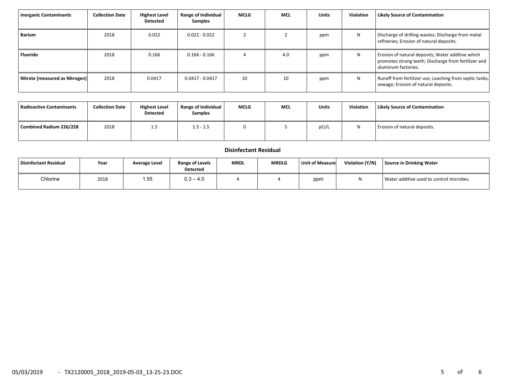| <b>Inorganic Contaminants</b>  | <b>Collection Date</b> | <b>Highest Level</b><br>Detected | <b>Range of Individual</b><br><b>Samples</b> | <b>MCLG</b> | <b>MCL</b> | <b>Units</b> | <b>Violation</b> | <b>Likely Source of Contamination</b>                                                                                            |
|--------------------------------|------------------------|----------------------------------|----------------------------------------------|-------------|------------|--------------|------------------|----------------------------------------------------------------------------------------------------------------------------------|
| Barium                         | 2018                   | 0.022                            | $0.022 - 0.022$                              |             |            | ppm          | N                | Discharge of drilling wastes; Discharge from metal<br>refineries; Erosion of natural deposits.                                   |
| Fluoride                       | 2018                   | 0.166                            | $0.166 - 0.166$                              |             | 4.0        | ppm          | N                | Erosion of natural deposits; Water additive which<br>promotes strong teeth; Discharge from fertilizer and<br>aluminum factories. |
| Nitrate [measured as Nitrogen] | 2018                   | 0.0417                           | $0.0417 - 0.0417$                            | 10          | 10         | ppm          | N                | Runoff from fertilizer use; Leaching from septic tanks,<br>sewage; Erosion of natural deposits.                                  |

| <b>Radioactive Contaminants</b> | <b>Collection Date</b> | <b>Highest Level</b><br><b>Detected</b> | Range of Individual<br><b>Samples</b> | <b>MCLG</b> | <b>MCL</b> | <b>Units</b> | Violation | <b>Likely Source of Contamination</b> |
|---------------------------------|------------------------|-----------------------------------------|---------------------------------------|-------------|------------|--------------|-----------|---------------------------------------|
| Combined Radium 226/228         | 2018                   | 1.5                                     | $1.5 - 1.5$                           | 0           |            | pCi/L        | N         | Erosion of natural deposits.          |

## **Disinfectant Residual**

| Disinfectant Residual | Year | Average Level | Range of Levels<br><b>Detected</b> | <b>MRDL</b> | <b>MRDLG</b> | Unit of Measure | Violation (Y/N) | Source in Drinking Water                 |
|-----------------------|------|---------------|------------------------------------|-------------|--------------|-----------------|-----------------|------------------------------------------|
| Chlorine              | 2018 | 1.55          | $3 - 4.0$<br>∪.ບ                   |             |              | ppm             |                 | Water additive used to control microbes. |